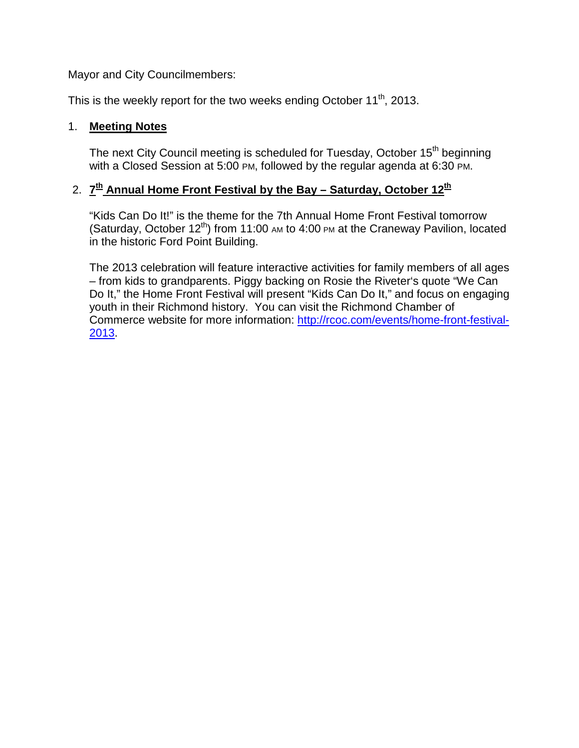Mayor and City Councilmembers:

This is the weekly report for the two weeks ending October  $11<sup>th</sup>$ , 2013.

## 1. **Meeting Notes**

The next City Council meeting is scheduled for Tuesday, October 15<sup>th</sup> beginning with a Closed Session at 5:00 PM, followed by the regular agenda at 6:30 PM.

## 2. **7th Annual Home Front Festival by the Bay – Saturday, October 12th**

"Kids Can Do It!" is the theme for the 7th Annual Home Front Festival tomorrow (Saturday, October  $12^{th}$ ) from 11:00 AM to 4:00 PM at the Craneway Pavilion, located in the historic Ford Point Building.

The 2013 celebration will feature interactive activities for family members of all ages – from kids to grandparents. Piggy backing on Rosie the Riveter's quote "We Can Do It," the Home Front Festival will present "Kids Can Do It," and focus on engaging youth in their Richmond history. You can visit the Richmond Chamber of Commerce website for more information: [http://rcoc.com/events/home-front-festival-](http://rcoc.com/events/home-front-festival-2013)[2013.](http://rcoc.com/events/home-front-festival-2013)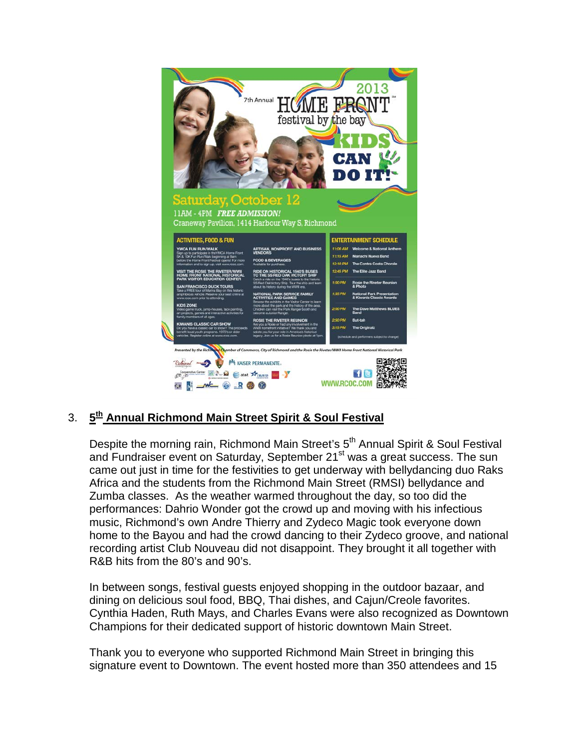

## 3. **5th Annual Richmond Main Street Spirit & Soul Festival**

Despite the morning rain, Richmond Main Street's 5<sup>th</sup> Annual Spirit & Soul Festival and Fundraiser event on Saturday, September 21<sup>st</sup> was a great success. The sun came out just in time for the festivities to get underway with bellydancing duo Raks Africa and the students from the Richmond Main Street (RMSI) bellydance and Zumba classes. As the weather warmed throughout the day, so too did the performances: Dahrio Wonder got the crowd up and moving with his infectious music, Richmond's own Andre Thierry and Zydeco Magic took everyone down home to the Bayou and had the crowd dancing to their Zydeco groove, and national recording artist Club Nouveau did not disappoint. They brought it all together with R&B hits from the 80's and 90's.

In between songs, festival guests enjoyed shopping in the outdoor bazaar, and dining on delicious soul food, BBQ, Thai dishes, and Cajun/Creole favorites. Cynthia Haden, Ruth Mays, and Charles Evans were also recognized as Downtown Champions for their dedicated support of historic downtown Main Street.

Thank you to everyone who supported Richmond Main Street in bringing this signature event to Downtown. The event hosted more than 350 attendees and 15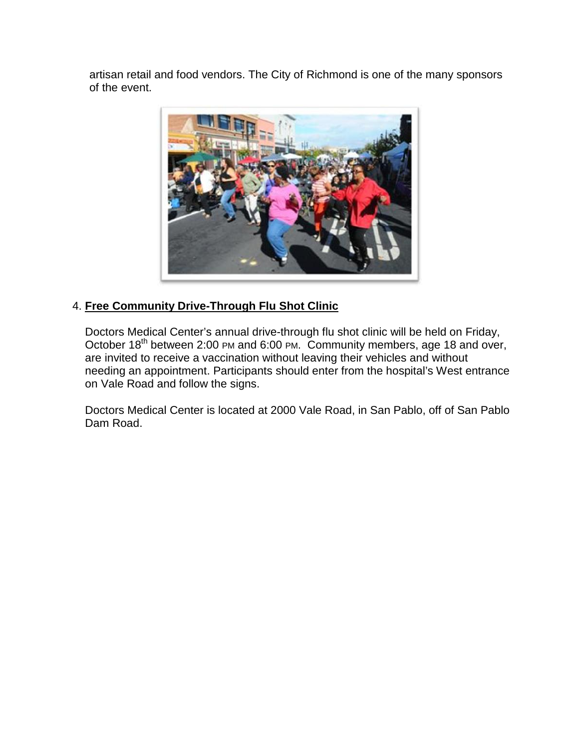artisan retail and food vendors. The City of Richmond is one of the many sponsors of the event.



## 4. **Free Community Drive-Through Flu Shot Clinic**

Doctors Medical Center's annual drive-through flu shot clinic will be held on Friday, October 18th between 2:00 PM and 6:00 PM. Community members, age 18 and over, are invited to receive a vaccination without leaving their vehicles and without needing an appointment. Participants should enter from the hospital's West entrance on Vale Road and follow the signs.

Doctors Medical Center is located at 2000 Vale Road, in San Pablo, off of San Pablo Dam Road.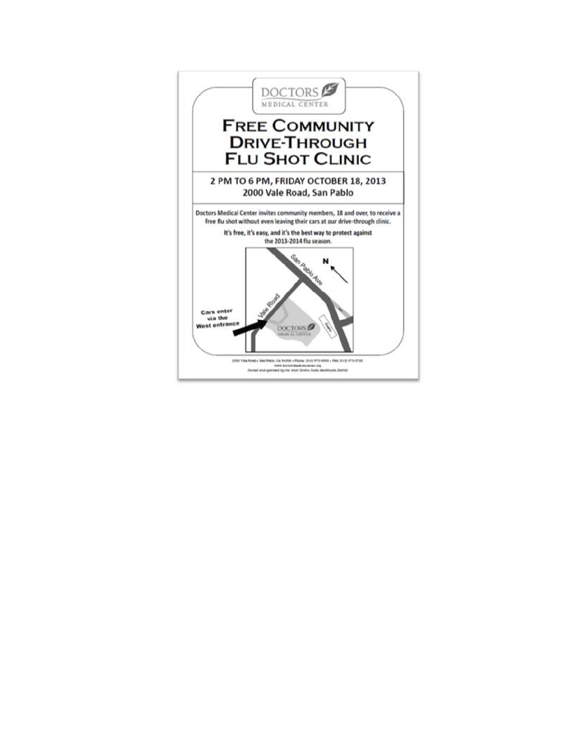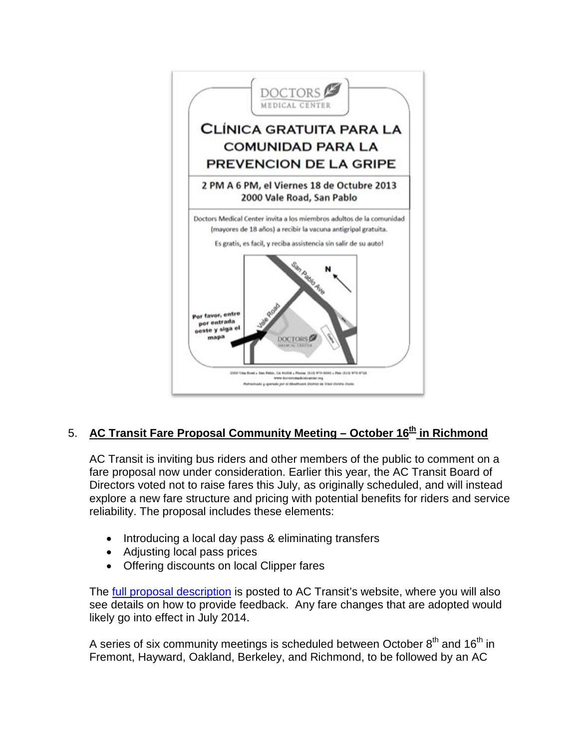

## 5. **AC Transit Fare Proposal Community Meeting – October 16<sup>th</sup> in Richmond**

AC Transit is inviting bus riders and other members of the public to comment on a fare proposal now under consideration. Earlier this year, the AC Transit Board of Directors voted not to raise fares this July, as originally scheduled, and will instead explore a new fare structure and pricing with potential benefits for riders and service reliability. The proposal includes these elements:

- Introducing a local day pass & eliminating transfers
- Adjusting local pass prices
- Offering discounts on local Clipper fares

The **full proposal description** is posted to AC Transit's website, where you will also see details on how to provide feedback. Any fare changes that are adopted would likely go into effect in July 2014.

A series of six community meetings is scheduled between October  $8<sup>th</sup>$  and  $16<sup>th</sup>$  in Fremont, Hayward, Oakland, Berkeley, and Richmond, to be followed by an AC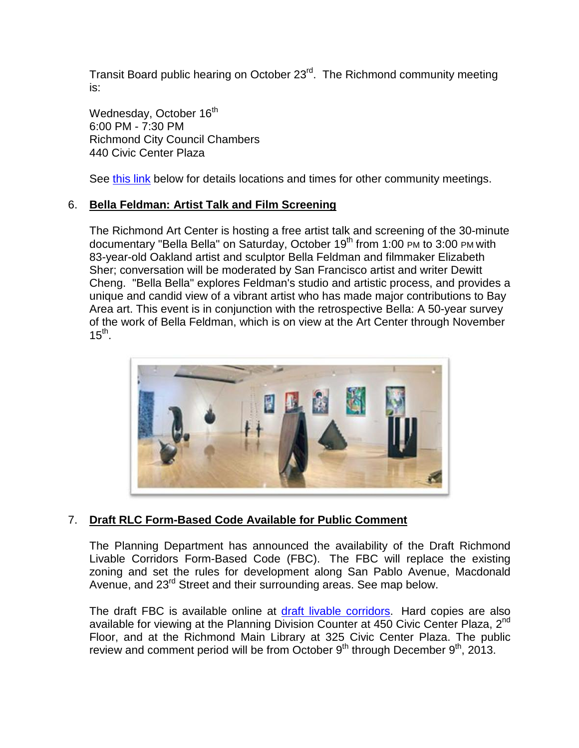Transit Board public hearing on October 23<sup>rd</sup>. The Richmond community meeting is:

Wednesday, October 16<sup>th</sup> 6:00 PM - 7:30 PM Richmond City Council Chambers 440 Civic Center Plaza

See [this link](http://www.actransit.org/2013/09/23/fare-change-proposal-available-for-comment/) below for details locations and times for other community meetings.

## 6. **Bella Feldman: Artist Talk and Film Screening**

The Richmond Art Center is hosting a free artist talk and screening of the 30-minute documentary "Bella Bella" on Saturday, October 19<sup>th</sup> from 1:00 PM to 3:00 PM with 83-year-old Oakland artist and sculptor Bella Feldman and filmmaker Elizabeth Sher; conversation will be moderated by San Francisco artist and writer Dewitt Cheng. "Bella Bella" explores Feldman's studio and artistic process, and provides a unique and candid view of a vibrant artist who has made major contributions to Bay Area art. This event is in conjunction with the retrospective Bella: A 50-year survey of the work of Bella Feldman, which is on view at the Art Center through November  $15^{th}$ .



## 7. **Draft RLC Form-Based Code Available for Public Comment**

The Planning Department has announced the availability of the Draft Richmond Livable Corridors Form-Based Code (FBC). The FBC will replace the existing zoning and set the rules for development along San Pablo Avenue, Macdonald Avenue, and 23<sup>rd</sup> Street and their surrounding areas. See map below.

The draft FBC is available online at [draft livable corridors.](http://www.ci.richmond.ca.us/DocumentCenter/View/27685) Hard copies are also available for viewing at the Planning Division Counter at 450 Civic Center Plaza, 2<sup>nd</sup> Floor, and at the Richmond Main Library at 325 Civic Center Plaza. The public review and comment period will be from October  $9<sup>th</sup>$  through December  $9<sup>th</sup>$ , 2013.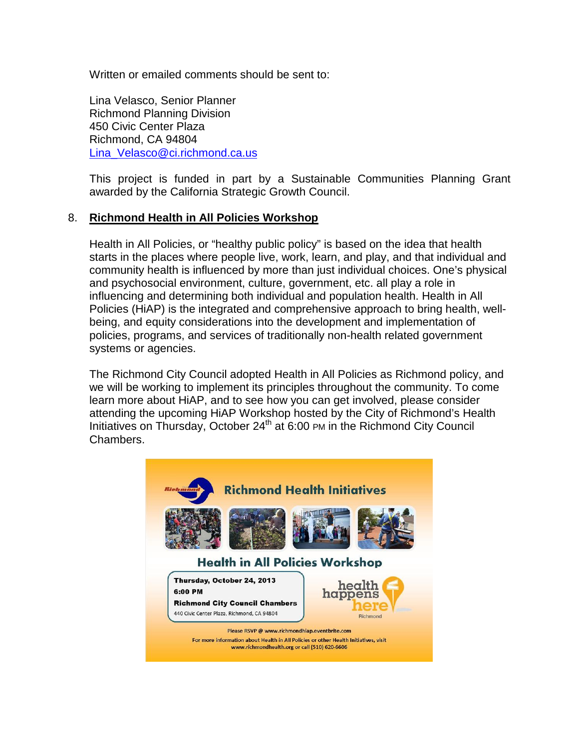Written or emailed comments should be sent to:

Lina Velasco, Senior Planner Richmond Planning Division 450 Civic Center Plaza Richmond, CA 94804 [Lina\\_Velasco@ci.richmond.ca.us](mailto:Lina_Velasco@ci.richmond.ca.us)

This project is funded in part by a Sustainable Communities Planning Grant awarded by the California Strategic Growth Council.

## 8. **Richmond Health in All Policies Workshop**

Health in All Policies, or "healthy public policy" is based on the idea that health starts in the places where people live, work, learn, and play, and that individual and community health is influenced by more than just individual choices. One's physical and psychosocial environment, culture, government, etc. all play a role in influencing and determining both individual and population health. Health in All Policies (HiAP) is the integrated and comprehensive approach to bring health, wellbeing, and equity considerations into the development and implementation of policies, programs, and services of traditionally non-health related government systems or agencies.

The Richmond City Council adopted Health in All Policies as Richmond policy, and we will be working to implement its principles throughout the community. To come learn more about HiAP, and to see how you can get involved, please consider attending the upcoming HiAP Workshop hosted by the City of Richmond's Health Initiatives on Thursday, October 24<sup>th</sup> at 6:00 PM in the Richmond City Council Chambers.

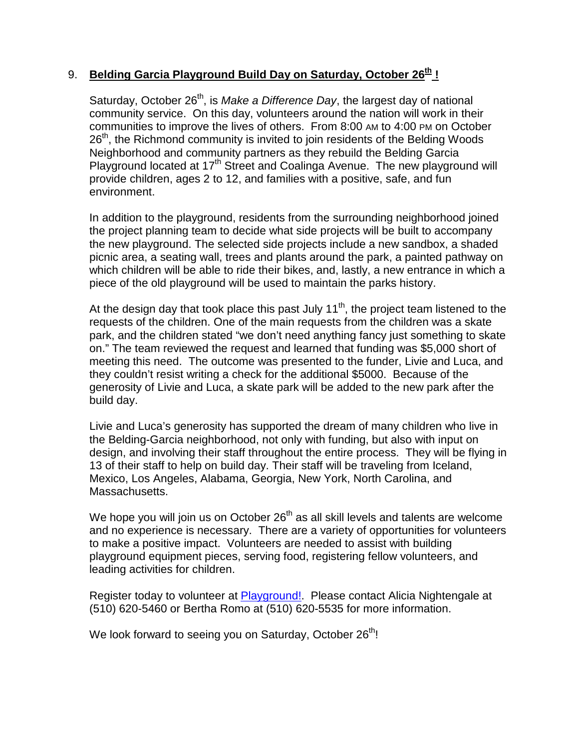## 9. **Belding Garcia Playground Build Day on Saturday, October 26<sup>th</sup>!**

Saturday, October 26<sup>th</sup>, is *Make a Difference Day*, the largest day of national community service. On this day, volunteers around the nation will work in their communities to improve the lives of others. From 8:00 AM to 4:00 PM on October 26<sup>th</sup>, the Richmond community is invited to join residents of the Belding Woods Neighborhood and community partners as they rebuild the Belding Garcia Playground located at 17<sup>th</sup> Street and Coalinga Avenue. The new playground will provide children, ages 2 to 12, and families with a positive, safe, and fun environment.

In addition to the playground, residents from the surrounding neighborhood joined the project planning team to decide what side projects will be built to accompany the new playground. The selected side projects include a new sandbox, a shaded picnic area, a seating wall, trees and plants around the park, a painted pathway on which children will be able to ride their bikes, and, lastly, a new entrance in which a piece of the old playground will be used to maintain the parks history.

At the design day that took place this past July  $11<sup>th</sup>$ , the project team listened to the requests of the children. One of the main requests from the children was a skate park, and the children stated "we don't need anything fancy just something to skate on." The team reviewed the request and learned that funding was \$5,000 short of meeting this need. The outcome was presented to the funder, Livie and Luca, and they couldn't resist writing a check for the additional \$5000. Because of the generosity of Livie and Luca, a skate park will be added to the new park after the build day.

Livie and Luca's generosity has supported the dream of many children who live in the Belding-Garcia neighborhood, not only with funding, but also with input on design, and involving their staff throughout the entire process. They will be flying in 13 of their staff to help on build day. Their staff will be traveling from Iceland, Mexico, Los Angeles, Alabama, Georgia, New York, North Carolina, and Massachusetts.

We hope you will join us on October  $26<sup>th</sup>$  as all skill levels and talents are welcome and no experience is necessary. There are a variety of opportunities for volunteers to make a positive impact. Volunteers are needed to assist with building playground equipment pieces, serving food, registering fellow volunteers, and leading activities for children.

Register today to volunteer at [Playground!.](http://beldinggarciaplayground.eventbrite.com/) Please contact Alicia Nightengale at (510) 620-5460 or Bertha Romo at (510) 620-5535 for more information.

We look forward to seeing you on Saturday, October 26<sup>th</sup>!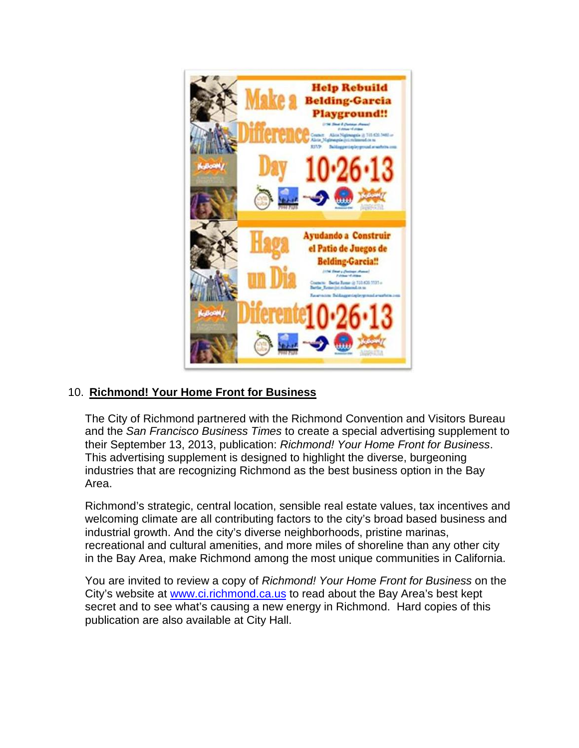

## 10. **Richmond! Your Home Front for Business**

The City of Richmond partnered with the Richmond Convention and Visitors Bureau and the *San Francisco Business Times* to create a special advertising supplement to their September 13, 2013, publication: *Richmond! Your Home Front for Business*. This advertising supplement is designed to highlight the diverse, burgeoning industries that are recognizing Richmond as the best business option in the Bay Area.

Richmond's strategic, central location, sensible real estate values, tax incentives and welcoming climate are all contributing factors to the city's broad based business and industrial growth. And the city's diverse neighborhoods, pristine marinas, recreational and cultural amenities, and more miles of shoreline than any other city in the Bay Area, make Richmond among the most unique communities in California.

You are invited to review a copy of *Richmond! Your Home Front for Business* on the City's website at [www.ci.richmond.ca.us](http://www.ci.richmond.ca.us/) to read about the Bay Area's best kept secret and to see what's causing a new energy in Richmond. Hard copies of this publication are also available at City Hall.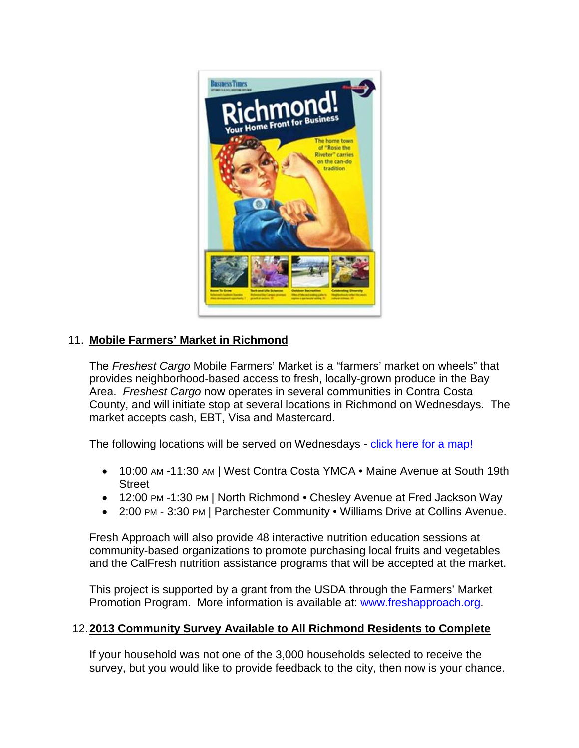

## 11. **Mobile Farmers' Market in Richmond**

The *Freshest Cargo* Mobile Farmers' Market is a "farmers' market on wheels" that provides neighborhood-based access to fresh, locally-grown produce in the Bay Area. *Freshest Cargo* now operates in several communities in Contra Costa County, and will initiate stop at several locations in Richmond on Wednesdays. The market accepts cash, EBT, Visa and Mastercard.

The following locations will be served on Wednesdays - [click here for a map!](http://freshapproach.org/freshestcargowednesday/)

- 10:00 AM -11:30 AM | West Contra Costa YMCA Maine Avenue at South 19th **Street**
- 12:00 PM -1:30 PM | North Richmond Chesley Avenue at Fred Jackson Way
- 2:00 PM 3:30 PM | Parchester Community Williams Drive at Collins Avenue.

Fresh Approach will also provide 48 interactive nutrition education sessions at community-based organizations to promote purchasing local fruits and vegetables and the CalFresh nutrition assistance programs that will be accepted at the market.

This project is supported by a grant from the USDA through the Farmers' Market Promotion Program. More information is available at: [www.freshapproach.org.](http://www.freshapproach.org/)

## 12.**2013 Community Survey Available to All Richmond Residents to Complete**

If your household was not one of the 3,000 households selected to receive the survey, but you would like to provide feedback to the city, then now is your chance.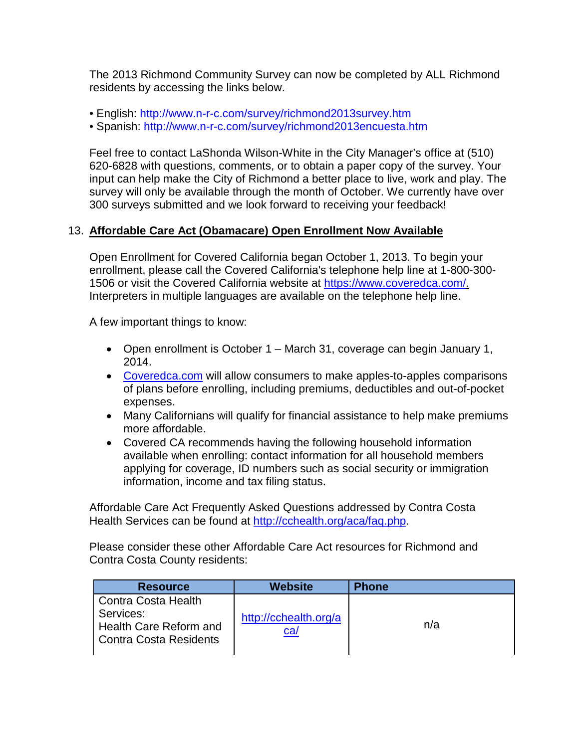The 2013 Richmond Community Survey can now be completed by ALL Richmond residents by accessing the links below.

- English:<http://www.n-r-c.com/survey/richmond2013survey.htm>
- Spanish:<http://www.n-r-c.com/survey/richmond2013encuesta.htm>

Feel free to contact LaShonda Wilson-White in the City Manager's office at (510) 620-6828 with questions, comments, or to obtain a paper copy of the survey. Your input can help make the City of Richmond a better place to live, work and play. The survey will only be available through the month of October. We currently have over 300 surveys submitted and we look forward to receiving your feedback!

## 13. **Affordable Care Act (Obamacare) Open Enrollment Now Available**

Open Enrollment for Covered California began October 1, 2013. To begin your enrollment, please call the Covered California's telephone help line at 1-800-300- 1506 or visit the Covered California website at [https://www.coveredca.com/.](https://www.coveredca.com/) Interpreters in multiple languages are available on the telephone help line.

A few important things to know:

- Open enrollment is October 1 March 31, coverage can begin January 1, 2014.
- [Coveredca.com](https://www.coveredca.com/) will allow consumers to make apples-to-apples comparisons of plans before enrolling, including premiums, deductibles and out-of-pocket expenses.
- Many Californians will qualify for financial assistance to help make premiums more affordable.
- Covered CA recommends having the following household information available when enrolling: contact information for all household members applying for coverage, ID numbers such as social security or immigration information, income and tax filing status.

Affordable Care Act Frequently Asked Questions addressed by Contra Costa Health Services can be found at [http://cchealth.org/aca/faq.php.](http://cchealth.org/aca/faq.php)

Please consider these other Affordable Care Act resources for Richmond and Contra Costa County residents:

| <b>Resource</b>                                            | <b>Website</b>               | <b>Phone</b> |
|------------------------------------------------------------|------------------------------|--------------|
| Contra Costa Health<br>Services:<br>Health Care Reform and | http://cchealth.org/a<br>ca/ | n/a          |
| Contra Costa Residents                                     |                              |              |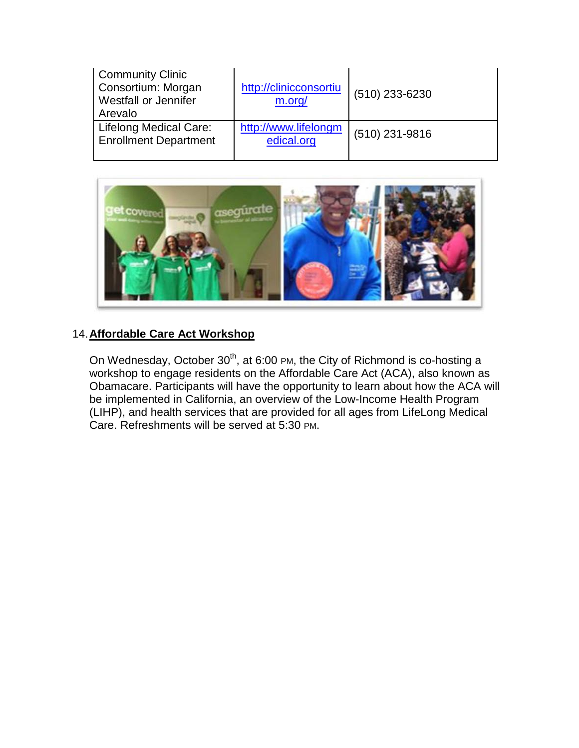| <b>Community Clinic</b><br>Consortium: Morgan<br><b>Westfall or Jennifer</b><br>Arevalo | http://clinicconsortiu<br>m.org/   | $(510)$ 233-6230 |
|-----------------------------------------------------------------------------------------|------------------------------------|------------------|
| <b>Lifelong Medical Care:</b><br><b>Enrollment Department</b>                           | http://www.lifelongm<br>edical.org | $(510)$ 231-9816 |



## 14.**Affordable Care Act Workshop**

On Wednesday, October  $30<sup>th</sup>$ , at 6:00 PM, the City of Richmond is co-hosting a workshop to engage residents on the Affordable Care Act (ACA), also known as Obamacare. Participants will have the opportunity to learn about how the ACA will be implemented in California, an overview of the Low-Income Health Program (LIHP), and health services that are provided for all ages from LifeLong Medical Care. Refreshments will be served at 5:30 PM.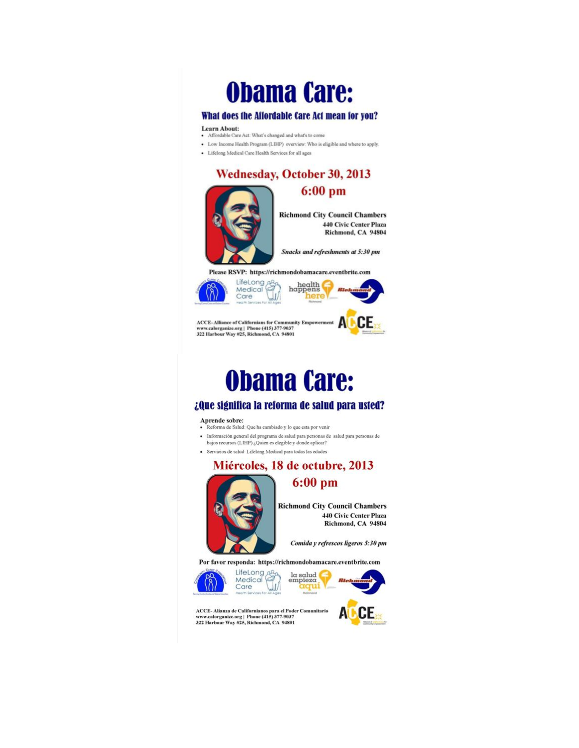# **Obama Care:**

### What does the Affordable Care Act mean for you?

#### Learn About:

- · Affordable Care Act: What's changed and what's to come
- Low Income Health Program (LIHP) overview: Who is eligible and where to apply.
- Lifelong Medical Care Health Services for all ages



440 Civic Center Plaza Richmond, CA 94804

Snacks and refreshments at 5:30 pm

Please RSVP: https://richmondobamacare.eventbrite.com





 $\text{ACCE-Alliance of Californias for Community Emperor}$ <br>www.calorganize.org | Phone (415) 377-9037<br>322 Harbour Way #25, Richmond, CA 94801



# **Obama Care:**

### ¿Que significa la reforma de salud para usted?

#### Aprende sobre:

- Reforma de Salud: Que ha cambiado y lo que esta por venir
- $\bullet$  Información general del programa de salud para personas de salud para personas de bajos recursos (LIHP) $\mathop{\rm \mathit{i}Quien}\nolimits$ es elegible y donde aplicar?
- · Servicios de salud Lifelong Medical para todas las edades







**Richmond City Council Chambers** 440 Civic Center Plaza Richmond, CA 94804

Comida y refrescos ligeros 5:30 pm

Por favor responda: https://richmondobamacare.eventbrite.com





ACCE-Alianza de Californianos para el Poder Comunitario<br>www.calorganize.org | Phone (415) 377-9037<br>322 Harbour Way #25, Richmond, CA 94801

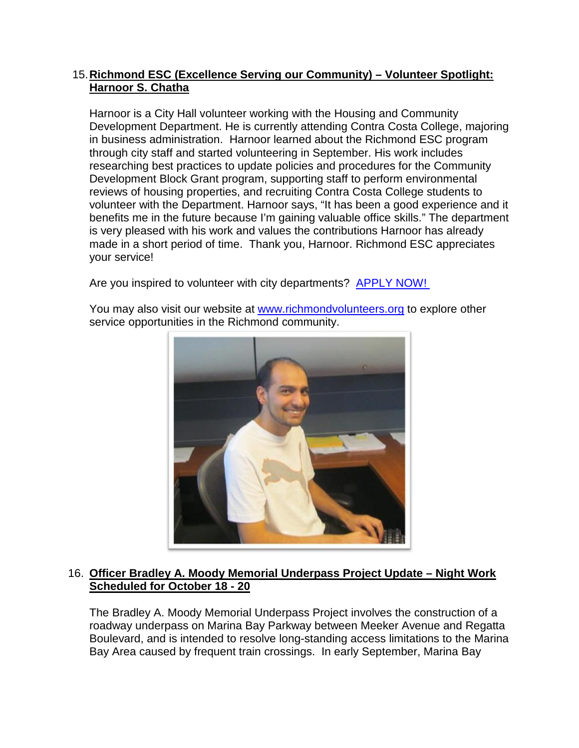## 15.**Richmond ESC (Excellence Serving our Community) – Volunteer Spotlight: Harnoor S. Chatha**

Harnoor is a City Hall volunteer working with the Housing and Community Development Department. He is currently attending Contra Costa College, majoring in business administration. Harnoor learned about the Richmond ESC program through city staff and started volunteering in September. His work includes researching best practices to update policies and procedures for the Community Development Block Grant program, supporting staff to perform environmental reviews of housing properties, and recruiting Contra Costa College students to volunteer with the Department. Harnoor says, "It has been a good experience and it benefits me in the future because I'm gaining valuable office skills." The department is very pleased with his work and values the contributions Harnoor has already made in a short period of time. Thank you, Harnoor. Richmond ESC appreciates your service!

Are you inspired to volunteer with city departments? [APPLY NOW!](http://www.ci.richmond.ca.us/forms.aspx?FID=167) 

You may also visit our website at [www.richmondvolunteers.org](http://www.richmondvolunteers.org/) to explore other service opportunities in the Richmond community.



## 16. **Officer Bradley A. Moody Memorial Underpass Project Update – Night Work Scheduled for October 18 - 20**

The Bradley A. Moody Memorial Underpass Project involves the construction of a roadway underpass on Marina Bay Parkway between Meeker Avenue and Regatta Boulevard, and is intended to resolve long-standing access limitations to the Marina Bay Area caused by frequent train crossings. In early September, Marina Bay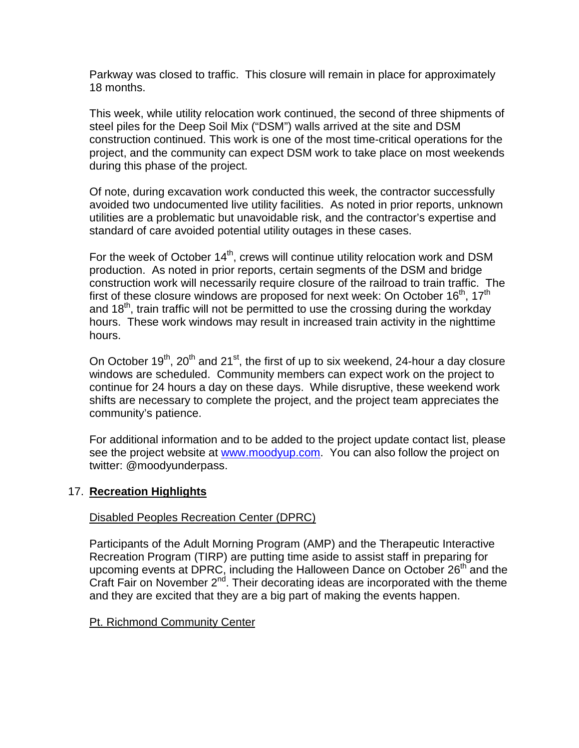Parkway was closed to traffic. This closure will remain in place for approximately 18 months.

This week, while utility relocation work continued, the second of three shipments of steel piles for the Deep Soil Mix ("DSM") walls arrived at the site and DSM construction continued. This work is one of the most time-critical operations for the project, and the community can expect DSM work to take place on most weekends during this phase of the project.

Of note, during excavation work conducted this week, the contractor successfully avoided two undocumented live utility facilities. As noted in prior reports, unknown utilities are a problematic but unavoidable risk, and the contractor's expertise and standard of care avoided potential utility outages in these cases.

For the week of October 14<sup>th</sup>, crews will continue utility relocation work and DSM production. As noted in prior reports, certain segments of the DSM and bridge construction work will necessarily require closure of the railroad to train traffic. The first of these closure windows are proposed for next week: On October  $16<sup>th</sup>$ ,  $17<sup>th</sup>$ and  $18<sup>th</sup>$ , train traffic will not be permitted to use the crossing during the workday hours. These work windows may result in increased train activity in the nighttime hours.

On October  $19<sup>th</sup>$ ,  $20<sup>th</sup>$  and  $21<sup>st</sup>$ , the first of up to six weekend, 24-hour a day closure windows are scheduled. Community members can expect work on the project to continue for 24 hours a day on these days. While disruptive, these weekend work shifts are necessary to complete the project, and the project team appreciates the community's patience.

For additional information and to be added to the project update contact list, please see the project website at [www.moodyup.com.](http://www.moodyup.com/) You can also follow the project on twitter: @moodyunderpass.

## 17. **Recreation Highlights**

## Disabled Peoples Recreation Center (DPRC)

Participants of the Adult Morning Program (AMP) and the Therapeutic Interactive Recreation Program (TIRP) are putting time aside to assist staff in preparing for upcoming events at DPRC, including the Halloween Dance on October  $26<sup>th</sup>$  and the Craft Fair on November  $2^{nd}$ . Their decorating ideas are incorporated with the theme and they are excited that they are a big part of making the events happen.

## Pt. Richmond Community Center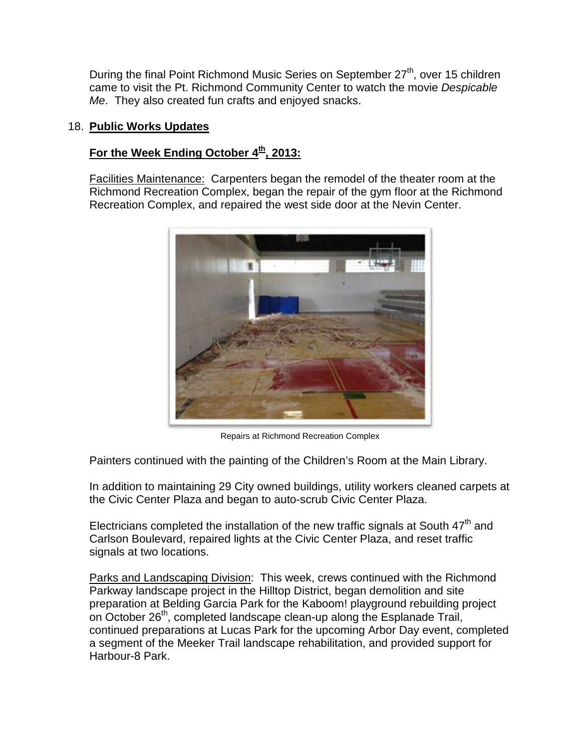During the final Point Richmond Music Series on September 27<sup>th</sup>, over 15 children came to visit the Pt. Richmond Community Center to watch the movie *Despicable Me*. They also created fun crafts and enjoyed snacks.

## 18. **Public Works Updates**

## For the Week Ending October 4<sup>th</sup>, 2013:

Facilities Maintenance: Carpenters began the remodel of the theater room at the Richmond Recreation Complex, began the repair of the gym floor at the Richmond Recreation Complex, and repaired the west side door at the Nevin Center.



Repairs at Richmond Recreation Complex

Painters continued with the painting of the Children's Room at the Main Library.

In addition to maintaining 29 City owned buildings, utility workers cleaned carpets at the Civic Center Plaza and began to auto-scrub Civic Center Plaza.

Electricians completed the installation of the new traffic signals at South  $47<sup>th</sup>$  and Carlson Boulevard, repaired lights at the Civic Center Plaza, and reset traffic signals at two locations.

Parks and Landscaping Division: This week, crews continued with the Richmond Parkway landscape project in the Hilltop District, began demolition and site preparation at Belding Garcia Park for the Kaboom! playground rebuilding project on October 26<sup>th</sup>, completed landscape clean-up along the Esplanade Trail, continued preparations at Lucas Park for the upcoming Arbor Day event, completed a segment of the Meeker Trail landscape rehabilitation, and provided support for Harbour-8 Park.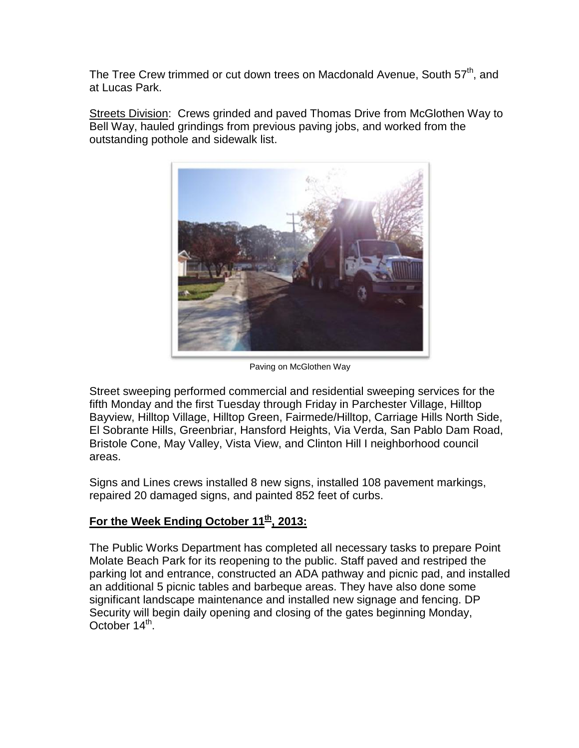The Tree Crew trimmed or cut down trees on Macdonald Avenue, South 57<sup>th</sup>, and at Lucas Park.

Streets Division: Crews grinded and paved Thomas Drive from McGlothen Way to Bell Way, hauled grindings from previous paving jobs, and worked from the outstanding pothole and sidewalk list.



Paving on McGlothen Way

Street sweeping performed commercial and residential sweeping services for the fifth Monday and the first Tuesday through Friday in Parchester Village, Hilltop Bayview, Hilltop Village, Hilltop Green, Fairmede/Hilltop, Carriage Hills North Side, El Sobrante Hills, Greenbriar, Hansford Heights, Via Verda, San Pablo Dam Road, Bristole Cone, May Valley, Vista View, and Clinton Hill I neighborhood council areas.

Signs and Lines crews installed 8 new signs, installed 108 pavement markings, repaired 20 damaged signs, and painted 852 feet of curbs.

## For the Week Ending October 11<sup>th</sup>, 2013:

The Public Works Department has completed all necessary tasks to prepare Point Molate Beach Park for its reopening to the public. Staff paved and restriped the parking lot and entrance, constructed an ADA pathway and picnic pad, and installed an additional 5 picnic tables and barbeque areas. They have also done some significant landscape maintenance and installed new signage and fencing. DP Security will begin daily opening and closing of the gates beginning Monday, October 14<sup>th</sup>.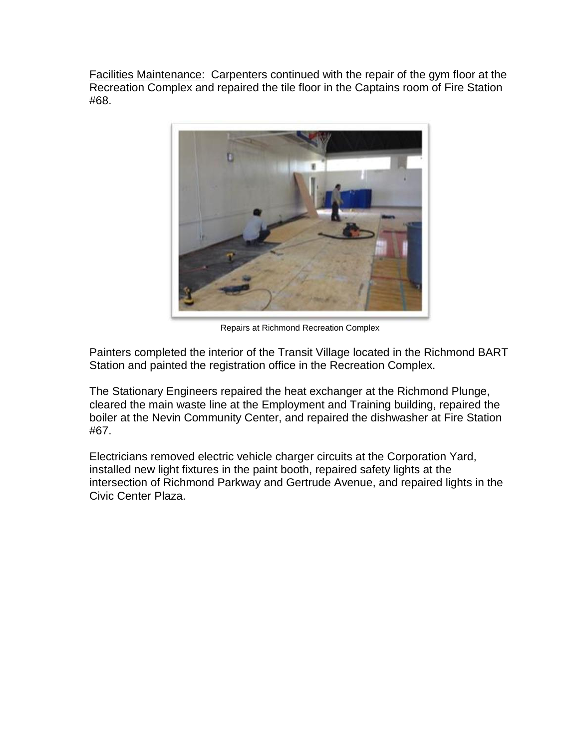Facilities Maintenance: Carpenters continued with the repair of the gym floor at the Recreation Complex and repaired the tile floor in the Captains room of Fire Station #68.



Repairs at Richmond Recreation Complex

Painters completed the interior of the Transit Village located in the Richmond BART Station and painted the registration office in the Recreation Complex.

The Stationary Engineers repaired the heat exchanger at the Richmond Plunge, cleared the main waste line at the Employment and Training building, repaired the boiler at the Nevin Community Center, and repaired the dishwasher at Fire Station #67.

Electricians removed electric vehicle charger circuits at the Corporation Yard, installed new light fixtures in the paint booth, repaired safety lights at the intersection of Richmond Parkway and Gertrude Avenue, and repaired lights in the Civic Center Plaza.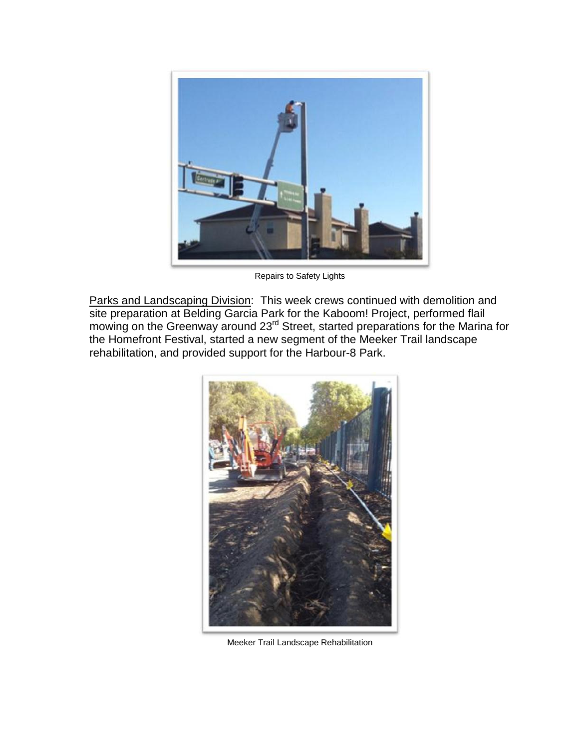

Repairs to Safety Lights

Parks and Landscaping Division: This week crews continued with demolition and site preparation at Belding Garcia Park for the Kaboom! Project, performed flail mowing on the Greenway around 23<sup>rd</sup> Street, started preparations for the Marina for the Homefront Festival, started a new segment of the Meeker Trail landscape rehabilitation, and provided support for the Harbour-8 Park.



Meeker Trail Landscape Rehabilitation